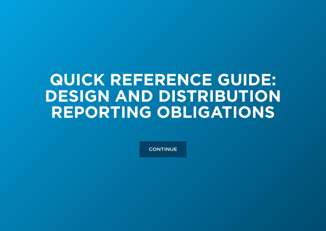# **QUICK REFERENCE GUIDE: DESIGN AND DISTRIBUTION REPORTING OBLIGATIONS**

**CONTINUE**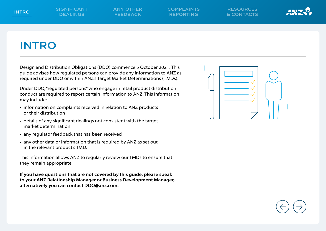

## INTRO

Design and Distribution Obligations (DDO) commence 5 October 2021. This guide advises how regulated persons can provide any information to ANZ as required under DDO or within ANZ's Target Market Determinations (TMDs).

Under DDO, "regulated persons" who engage in retail product distribution conduct are required to report certain information to ANZ. This information may include:

- information on complaints received in relation to ANZ products or their distribution
- details of any significant dealings not consistent with the target market determination
- any regulator feedback that has been received
- any other data or information that is required by ANZ as set out in the relevant product's TMD.

This information allows ANZ to regularly review our TMDs to ensure that they remain appropriate.

**If you have questions that are not covered by this guide, please speak to your ANZ Relationship Manager or Business Development Manager, alternatively you can contact DDO@anz.com.**

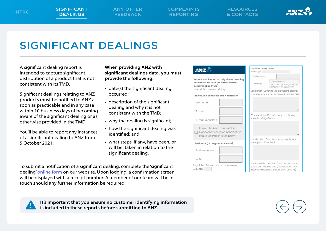**Business name** 

egulated Person

 $\checkmark$ 

ABN

vith ANZ

Distributor (i.e. Regulated Person)

RESOURCES & CONTACTS



not consistent with the TMD.)

## SIGNIFICANT DEALINGS

A significant dealing report is intended to capture significant distribution of a product that is not consistent with its TMD.

Significant dealings relating to ANZ products must be notified to ANZ as soon as practicable and in any case within 10 business days of becoming aware of the significant dealing or as otherwise provided in the TMD.

You'll be able to report any instances of a significant dealing to ANZ from 5 October 2021.

**When providing ANZ with significant dealings data, you must provide the following:**

- date(s) the significant dealing occurred;
- description of the significant dealing and why it is not consistent with the TMD;
- why the dealing is significant;
- how the significant dealing was identified; and
- what steps, if any, have been, or will be, taken in relation to the significant dealing.

To submit a notification of a significant dealing, complete the 'significant dealing' [online form](http://www.anz.com/ddo-reporting) on our website. Upon lodging, a confirmation screen will be displayed with a receipt number. A member of our team will be in touch should any further information be required.

|                                                                                                                                                                                                                                                          | <b>Significant Dealing Details</b>                                                                  |                                                                                                   |    |  |
|----------------------------------------------------------------------------------------------------------------------------------------------------------------------------------------------------------------------------------------------------------|-----------------------------------------------------------------------------------------------------|---------------------------------------------------------------------------------------------------|----|--|
|                                                                                                                                                                                                                                                          | Product type                                                                                        | $\checkmark$                                                                                      |    |  |
|                                                                                                                                                                                                                                                          | Product name                                                                                        |                                                                                                   |    |  |
| <b>ANZ</b><br>Submit Notification of a Significant Dealing<br>not consistent with the Target Market<br>Determination (TMD)<br>Note: All fields are mandatory<br>Individual Submitting this Notification<br>Full name:<br>$F$ -mail:<br>E-mail (confirm): | Select date range<br>Date range<br>The date range during which the<br>significant dealing occurred) |                                                                                                   |    |  |
|                                                                                                                                                                                                                                                          |                                                                                                     | Description (Describe the significant dealing,<br>including why it is not consistent with the TMI |    |  |
|                                                                                                                                                                                                                                                          |                                                                                                     |                                                                                                   |    |  |
|                                                                                                                                                                                                                                                          |                                                                                                     |                                                                                                   | i. |  |
|                                                                                                                                                                                                                                                          | considered significant)                                                                             | Why significant (Describe why the dealing is                                                      |    |  |
| I am authorized to submit this<br>Significant Dealing on behalf of the                                                                                                                                                                                   |                                                                                                     |                                                                                                   |    |  |

Regulated Person listed below Identification (Describe how the significant dealina was identified)

| has an agreement | Steps taken/to be taken (Describe the steps<br>have been taken to date / are planned to be<br>taken in relation to the significant dealing.) |
|------------------|----------------------------------------------------------------------------------------------------------------------------------------------|



**It's important that you ensure no customer identifying information is included in these reports before submitting to ANZ.**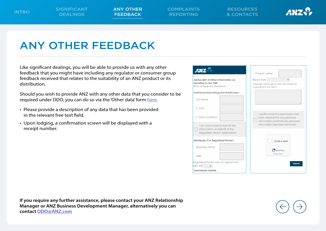ANY OTHER **FEEDBACK** 

COMPLAINTS REPORTING

RESOURCES & CONTACTS



## ANY OTHER FEEDBACK

Like significant dealings, you will be able to provide us with any other feedback that you might have including any regulator or consumer group feedback received that relates to the suitability of an ANZ product or its distribution.

Should you wish to provide ANZ with any other data that you consider to be required under DDO, you can do so via the 'Other data' form [here.](http://www.anz.com/ddo-reporting)

- Please provide a description of any data that has been provided in the relevant free text field.
- Upon lodging, a confirmation screen will be displayed with a receipt number.

| <b>ANZ</b>                                                                                      | Product name                                                                                             |
|-------------------------------------------------------------------------------------------------|----------------------------------------------------------------------------------------------------------|
| dvise ANZ of Other Information as<br>pecified in the TMD<br>ote: All fields are mandatory       | Report type<br>$\checkmark$<br>Message (Message to ANZ with details as<br>requested in the TMD.)         |
| dividual Submitting this Notification                                                           |                                                                                                          |
| Full name:                                                                                      |                                                                                                          |
| E-mail:                                                                                         |                                                                                                          |
| E-mail (confirm):                                                                               | I confirm that this submission has<br>been checked for any personal<br>information and that any personal |
| I am authorized to submit this<br>information on behalf of the<br>Regulated Person listed below | information has been removed.                                                                            |
| istributor (i.e. Regulated Person)                                                              | I'm not a robot                                                                                          |
| <b>Business name:</b>                                                                           | <b>reCAPTCHA</b>                                                                                         |
| ABN:                                                                                            | Privacy * Terma                                                                                          |
| equlated Person has an agreement<br>th ANZ                                                      | Submit                                                                                                   |
| ubmission Details                                                                               |                                                                                                          |

**If you require any further assistance, please contact your ANZ Relationship Manager or ANZ Business Development Manager, alternatively you can contact [DDO@ANZ.com](mailto:%22DDO%40anz.com%22%20%3CDDO%40ANZ.com%3E?subject=)**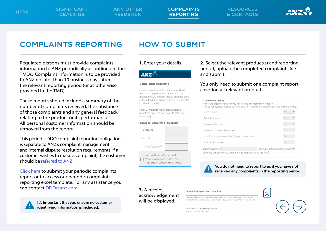ANY OTHER FEEDBACK

COMPLAINTS REPORTING

RESOURCES & CONTACTS



### COMPLAINTS REPORTING HOW TO SUBMIT

Regulated persons must provide complaints information to ANZ periodically as outlined in the TMDs. Complaint information is to be provided to ANZ no later than 10 business days after the relevant reporting period (or as otherwise provided in the TMD).

These reports should include a summary of the number of complaints received, the substance of those complaints and any general feedback relating to the product or its performance. All personal customer information should be removed from the report.

This periodic DDO complaint reporting obligation is separate to ANZ's complaint management and internal dispute resolution requirements. If a customer wishes to make a complaint, the customer should be [referred to ANZ.](https://www.anz.com.au/support/contact-us/complaints/)

[Click here](https://www.anz.com.au/support/rates-fees-terms/target-market-determinations/ddo-reporting/) to submit your periodic complaints report or to access our periodic complaints reporting excel template. For any assistance you can contact [DDO@anz.com](mailto:DDO%40anz.com?subject=).



**It's important that you ensure no customer identifying information is included.** 

### **ANZ.**

### **Complaints Reporting**

Provide complaints information as outlined in the TMD. Complaints information is to be provided to ANZ no later than 10 business days of the relevant reporting period or as otherwise provided in the TMD.

Note: Complaints information reporting templates can be found here. All fields are mandatory.

| Individual Submitting this Report                                                         |
|-------------------------------------------------------------------------------------------|
| Full name:                                                                                |
| $F$ -mail:                                                                                |
| E-mail (confirm):                                                                         |
| I am authorized to submit<br>Complaints on behalf of the<br>Regulated Person listed below |

**1.** Enter your details. **2.** Select the relevant product(s) and reporting period, upload the completed complaints file and submit.

### You only need to submit one complaint report covering all relevant products.

| <b>Submission Details</b><br>Select the products for which you have complaint information to report.<br>You do not need to report to us if you have not received any complaints in the reporting period. |                           |  |
|----------------------------------------------------------------------------------------------------------------------------------------------------------------------------------------------------------|---------------------------|--|
| Home Loans                                                                                                                                                                                               | <b>No</b>                 |  |
| <b>Bank Accounts</b>                                                                                                                                                                                     | N <sub>O</sub>            |  |
| <b>Business Accounts</b>                                                                                                                                                                                 | <b>No</b>                 |  |
| Business Loans and Overdrafts                                                                                                                                                                            | <b>No</b><br>$\checkmark$ |  |
| Credit Cards / Personal Lending and Overdrafts                                                                                                                                                           | <b>No</b><br>$\checkmark$ |  |
| <b>ANZ Capital Notes</b>                                                                                                                                                                                 | <b>No</b><br>$\checkmark$ |  |
| $\vee$ (ANZ has set the reporting period to<br>Reporting period:<br>quarterly except for ANZ Capital Notes, please refer to the TMD)                                                                     |                           |  |

### **You do not need to report to us if you have not received any complaints in the reporting period.**

**3.** A receipt acknowledgement will be displayed.

| <b>Complaints Reporting - Submitted</b>                                                                                                                               |  |
|-----------------------------------------------------------------------------------------------------------------------------------------------------------------------|--|
| Your complaints report has been received by ANZ. Please take note of the receipt<br>number below for reference should there be any queries regarding your submission. |  |
| Receipt number: R_3rFWzqQIB23IQUI<br>Date submitted: 9 Feb 2022                                                                                                       |  |